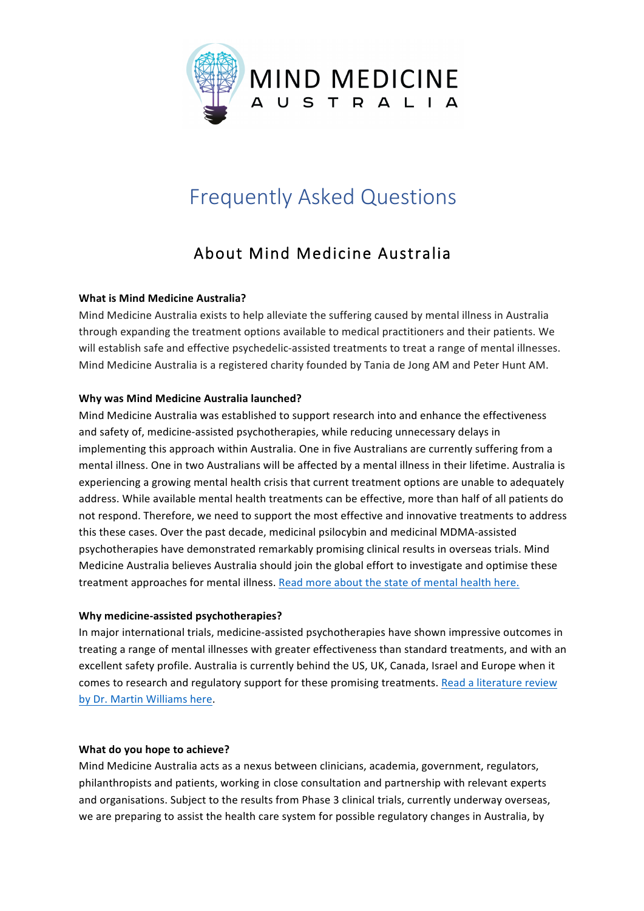

# Frequently Asked Questions

# About Mind Medicine Australia

# **What is Mind Medicine Australia?**

Mind Medicine Australia exists to help alleviate the suffering caused by mental illness in Australia through expanding the treatment options available to medical practitioners and their patients. We will establish safe and effective psychedelic-assisted treatments to treat a range of mental illnesses. Mind Medicine Australia is a registered charity founded by Tania de Jong AM and Peter Hunt AM.

#### **Why was Mind Medicine Australia launched?**

Mind Medicine Australia was established to support research into and enhance the effectiveness and safety of, medicine-assisted psychotherapies, while reducing unnecessary delays in implementing this approach within Australia. One in five Australians are currently suffering from a mental illness. One in two Australians will be affected by a mental illness in their lifetime. Australia is experiencing a growing mental health crisis that current treatment options are unable to adequately address. While available mental health treatments can be effective, more than half of all patients do not respond. Therefore, we need to support the most effective and innovative treatments to address this these cases. Over the past decade, medicinal psilocybin and medicinal MDMA-assisted psychotherapies have demonstrated remarkably promising clinical results in overseas trials. Mind Medicine Australia believes Australia should join the global effort to investigate and optimise these treatment approaches for mental illness. Read more about the state of mental health here.

# Why medicine-assisted psychotherapies?

In major international trials, medicine-assisted psychotherapies have shown impressive outcomes in treating a range of mental illnesses with greater effectiveness than standard treatments, and with an excellent safety profile. Australia is currently behind the US, UK, Canada, Israel and Europe when it comes to research and regulatory support for these promising treatments. Read a literature review by Dr. Martin Williams here.

#### **What do you hope to achieve?**

Mind Medicine Australia acts as a nexus between clinicians, academia, government, regulators, philanthropists and patients, working in close consultation and partnership with relevant experts and organisations. Subject to the results from Phase 3 clinical trials, currently underway overseas, we are preparing to assist the health care system for possible regulatory changes in Australia, by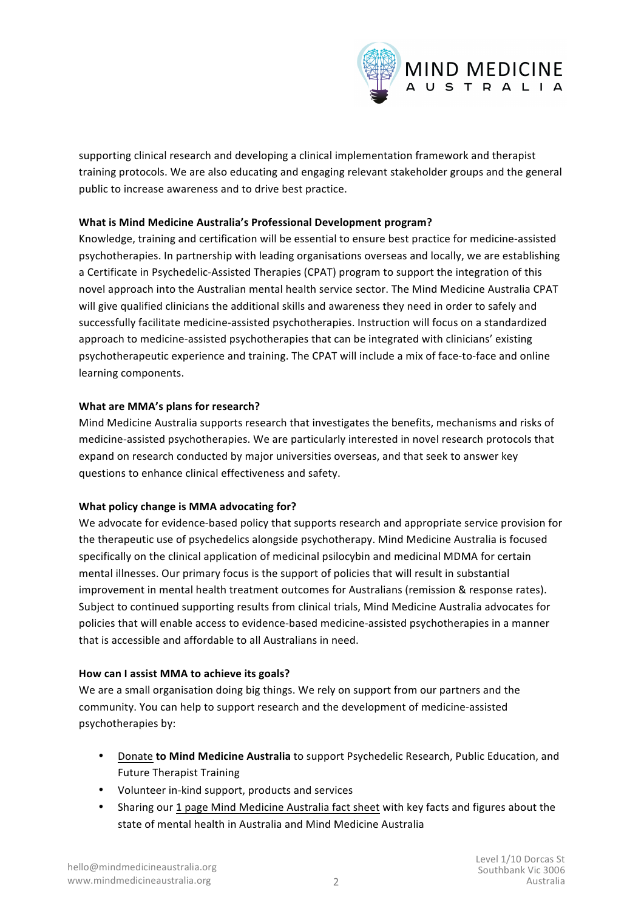

supporting clinical research and developing a clinical implementation framework and therapist training protocols. We are also educating and engaging relevant stakeholder groups and the general public to increase awareness and to drive best practice.

# **What is Mind Medicine Australia's Professional Development program?**

Knowledge, training and certification will be essential to ensure best practice for medicine-assisted psychotherapies. In partnership with leading organisations overseas and locally, we are establishing a Certificate in Psychedelic-Assisted Therapies (CPAT) program to support the integration of this novel approach into the Australian mental health service sector. The Mind Medicine Australia CPAT will give qualified clinicians the additional skills and awareness they need in order to safely and successfully facilitate medicine-assisted psychotherapies. Instruction will focus on a standardized approach to medicine-assisted psychotherapies that can be integrated with clinicians' existing psychotherapeutic experience and training. The CPAT will include a mix of face-to-face and online learning components.

# **What are MMA's plans for research?**

Mind Medicine Australia supports research that investigates the benefits, mechanisms and risks of medicine-assisted psychotherapies. We are particularly interested in novel research protocols that expand on research conducted by major universities overseas, and that seek to answer key questions to enhance clinical effectiveness and safety.

# **What policy change is MMA advocating for?**

We advocate for evidence-based policy that supports research and appropriate service provision for the therapeutic use of psychedelics alongside psychotherapy. Mind Medicine Australia is focused specifically on the clinical application of medicinal psilocybin and medicinal MDMA for certain mental illnesses. Our primary focus is the support of policies that will result in substantial improvement in mental health treatment outcomes for Australians (remission & response rates). Subject to continued supporting results from clinical trials, Mind Medicine Australia advocates for policies that will enable access to evidence-based medicine-assisted psychotherapies in a manner that is accessible and affordable to all Australians in need.

# How can I assist MMA to achieve its goals?

We are a small organisation doing big things. We rely on support from our partners and the community. You can help to support research and the development of medicine-assisted psychotherapies by:

- Donate **to Mind Medicine Australia** to support Psychedelic Research, Public Education, and Future Therapist Training
- Volunteer in-kind support, products and services
- Sharing our 1 page Mind Medicine Australia fact sheet with key facts and figures about the state of mental health in Australia and Mind Medicine Australia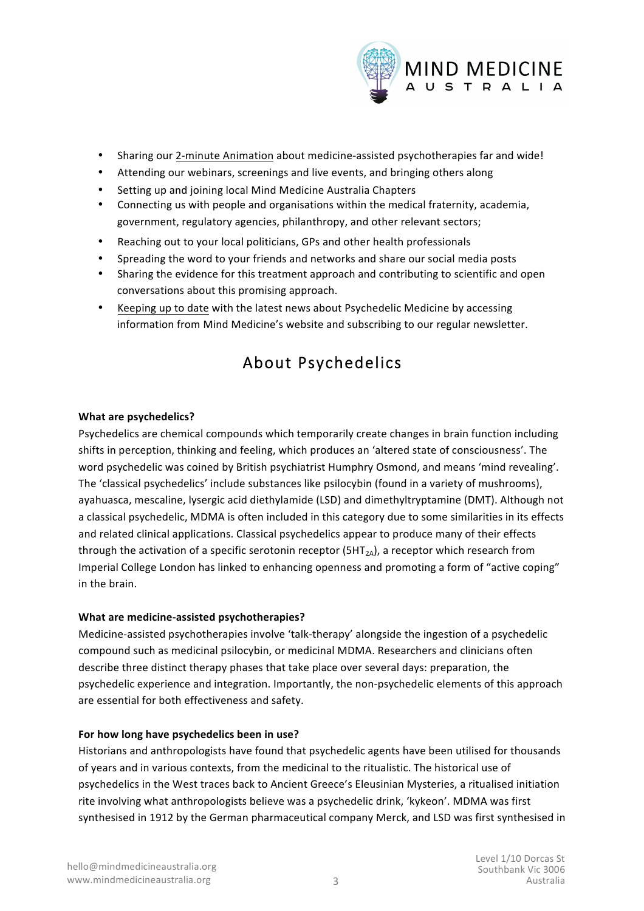

- Sharing our 2-minute [Animation](https://www.youtube.com/watch?v=VSO8UTQvYUw&feature=emb_logo) about medicine-assisted psychotherapies far and wide!
- Attending our webinars, screenings and live events, and bringing others along
- Setting up and joining local Mind Medicine Australia Chapters
- Connecting us with people and organisations within the medical fraternity, academia, government, regulatory agencies, philanthropy, and other relevant sectors;
- Reaching out to your local politicians, GPs and other health professionals
- Spreading the word to your friends and networks and share our social media posts
- Sharing the evidence for this treatment approach and contributing to scientific and open conversations about this promising approach.
- [Keeping](https://mindmedicineaustralia.org/mma-in-the-news/) up to date with the latest news about Psychedelic Medicine by accessing information from Mind Medicine's website and subscribing to our regular newsletter.

# About Psychedelics

#### **What are psychedelics?**

Psychedelics are chemical compounds which temporarily create changes in brain function including shifts in perception, thinking and feeling, which produces an 'altered state of consciousness'. The word psychedelic was coined by British psychiatrist Humphry Osmond, and means 'mind revealing'. The 'classical psychedelics' include substances like psilocybin (found in a variety of mushrooms), ayahuasca, mescaline, lysergic acid diethylamide (LSD) and dimethyltryptamine (DMT). Although not a classical psychedelic, MDMA is often included in this category due to some similarities in its effects and related clinical applications. Classical psychedelics appear to produce many of their effects through the activation of a specific serotonin receptor  $(SHT<sub>2A</sub>)$ , a receptor which research from Imperial College London has linked to enhancing openness and promoting a form of "active coping" in the brain.

#### **What are medicine-assisted psychotherapies?**

Medicine-assisted psychotherapies involve 'talk-therapy' alongside the ingestion of a psychedelic compound such as medicinal psilocybin, or medicinal MDMA. Researchers and clinicians often describe three distinct therapy phases that take place over several days: preparation, the psychedelic experience and integration. Importantly, the non-psychedelic elements of this approach are essential for both effectiveness and safety.

#### For how long have psychedelics been in use?

Historians and anthropologists have found that psychedelic agents have been utilised for thousands of years and in various contexts, from the medicinal to the ritualistic. The historical use of psychedelics in the West traces back to Ancient Greece's Eleusinian Mysteries, a ritualised initiation rite involving what anthropologists believe was a psychedelic drink, 'kykeon'. MDMA was first synthesised in 1912 by the German pharmaceutical company Merck, and LSD was first synthesised in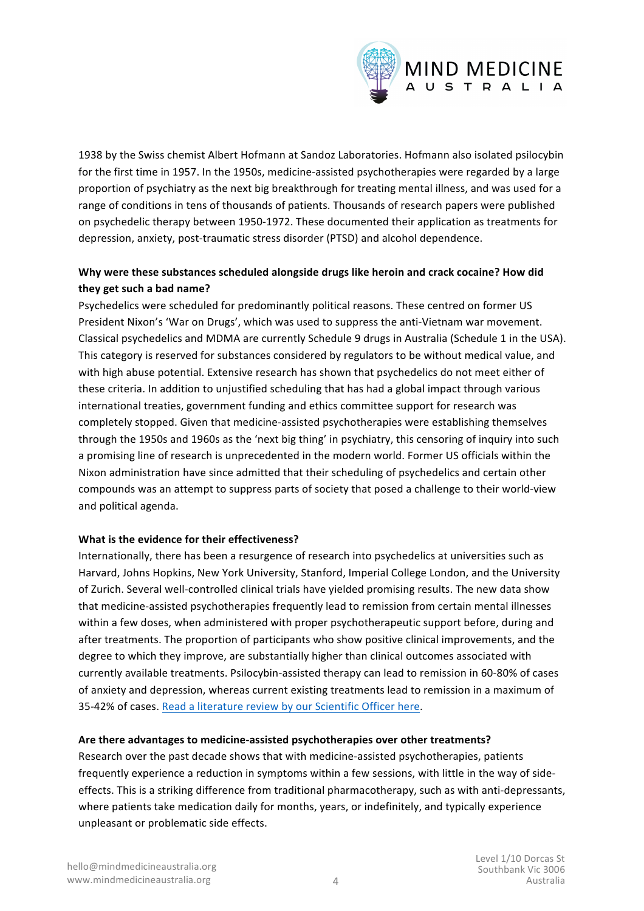

1938 by the Swiss chemist Albert Hofmann at Sandoz Laboratories. Hofmann also isolated psilocybin for the first time in 1957. In the 1950s, medicine-assisted psychotherapies were regarded by a large proportion of psychiatry as the next big breakthrough for treating mental illness, and was used for a range of conditions in tens of thousands of patients. Thousands of research papers were published on psychedelic therapy between 1950-1972. These documented their application as treatments for depression, anxiety, post-traumatic stress disorder (PTSD) and alcohol dependence.

# Why were these substances scheduled alongside drugs like heroin and crack cocaine? How did they get such a bad name?

Psychedelics were scheduled for predominantly political reasons. These centred on former US President Nixon's 'War on Drugs', which was used to suppress the anti-Vietnam war movement. Classical psychedelics and MDMA are currently Schedule 9 drugs in Australia (Schedule 1 in the USA). This category is reserved for substances considered by regulators to be without medical value, and with high abuse potential. Extensive research has shown that psychedelics do not meet either of these criteria. In addition to unjustified scheduling that has had a global impact through various international treaties, government funding and ethics committee support for research was completely stopped. Given that medicine-assisted psychotherapies were establishing themselves through the 1950s and 1960s as the 'next big thing' in psychiatry, this censoring of inquiry into such a promising line of research is unprecedented in the modern world. Former US officials within the Nixon administration have since admitted that their scheduling of psychedelics and certain other compounds was an attempt to suppress parts of society that posed a challenge to their world-view and political agenda.

#### **What is the evidence for their effectiveness?**

Internationally, there has been a resurgence of research into psychedelics at universities such as Harvard, Johns Hopkins, New York University, Stanford, Imperial College London, and the University of Zurich. Several well-controlled clinical trials have yielded promising results. The new data show that medicine-assisted psychotherapies frequently lead to remission from certain mental illnesses within a few doses, when administered with proper psychotherapeutic support before, during and after treatments. The proportion of participants who show positive clinical improvements, and the degree to which they improve, are substantially higher than clinical outcomes associated with currently available treatments. Psilocybin-assisted therapy can lead to remission in 60-80% of cases of anxiety and depression, whereas current existing treatments lead to remission in a maximum of 35-42% of cases. Read a literature review by our Scientific Officer here.

#### Are there advantages to medicine-assisted psychotherapies over other treatments?

Research over the past decade shows that with medicine-assisted psychotherapies, patients frequently experience a reduction in symptoms within a few sessions, with little in the way of sideeffects. This is a striking difference from traditional pharmacotherapy, such as with anti-depressants, where patients take medication daily for months, years, or indefinitely, and typically experience unpleasant or problematic side effects.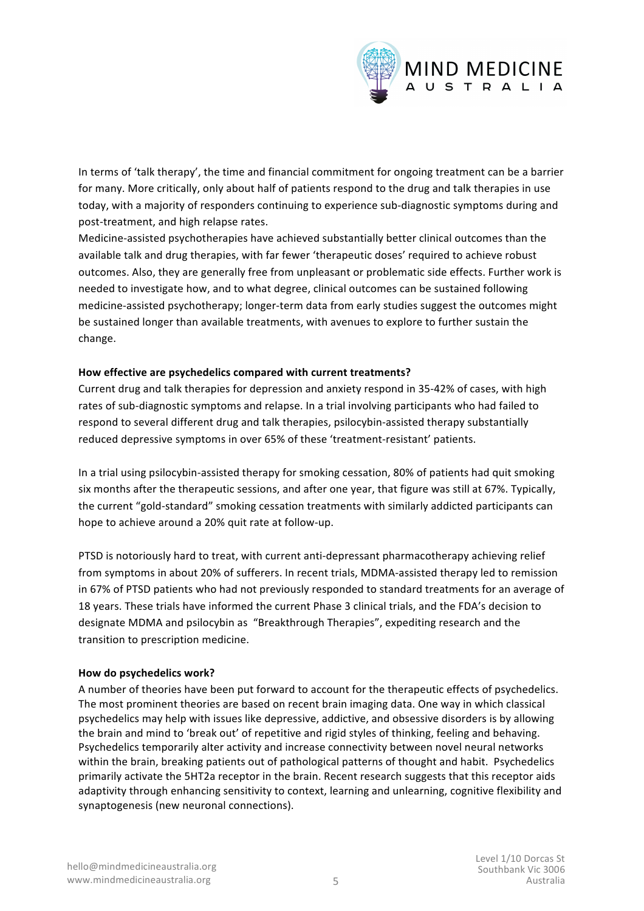

In terms of 'talk therapy', the time and financial commitment for ongoing treatment can be a barrier for many. More critically, only about half of patients respond to the drug and talk therapies in use today, with a majority of responders continuing to experience sub-diagnostic symptoms during and post-treatment, and high relapse rates.

Medicine-assisted psychotherapies have achieved substantially better clinical outcomes than the available talk and drug therapies, with far fewer 'therapeutic doses' required to achieve robust outcomes. Also, they are generally free from unpleasant or problematic side effects. Further work is needed to investigate how, and to what degree, clinical outcomes can be sustained following medicine-assisted psychotherapy; longer-term data from early studies suggest the outcomes might be sustained longer than available treatments, with avenues to explore to further sustain the change. 

# How effective are psychedelics compared with current treatments?

Current drug and talk therapies for depression and anxiety respond in 35-42% of cases, with high rates of sub-diagnostic symptoms and relapse. In a trial involving participants who had failed to respond to several different drug and talk therapies, psilocybin-assisted therapy substantially reduced depressive symptoms in over 65% of these 'treatment-resistant' patients.

In a trial using psilocybin-assisted therapy for smoking cessation, 80% of patients had quit smoking six months after the therapeutic sessions, and after one year, that figure was still at 67%. Typically, the current "gold-standard" smoking cessation treatments with similarly addicted participants can hope to achieve around a 20% quit rate at follow-up.

PTSD is notoriously hard to treat, with current anti-depressant pharmacotherapy achieving relief from symptoms in about 20% of sufferers. In recent trials, MDMA-assisted therapy led to remission in 67% of PTSD patients who had not previously responded to standard treatments for an average of 18 years. These trials have informed the current Phase 3 clinical trials, and the FDA's decision to designate MDMA and psilocybin as "Breakthrough Therapies", expediting research and the transition to prescription medicine.

#### **How do psychedelics work?**

A number of theories have been put forward to account for the therapeutic effects of psychedelics. The most prominent theories are based on recent brain imaging data. One way in which classical psychedelics may help with issues like depressive, addictive, and obsessive disorders is by allowing the brain and mind to 'break out' of repetitive and rigid styles of thinking, feeling and behaving. Psychedelics temporarily alter activity and increase connectivity between novel neural networks within the brain, breaking patients out of pathological patterns of thought and habit. Psychedelics primarily activate the 5HT2a receptor in the brain. Recent research suggests that this receptor aids adaptivity through enhancing sensitivity to context, learning and unlearning, cognitive flexibility and synaptogenesis (new neuronal connections).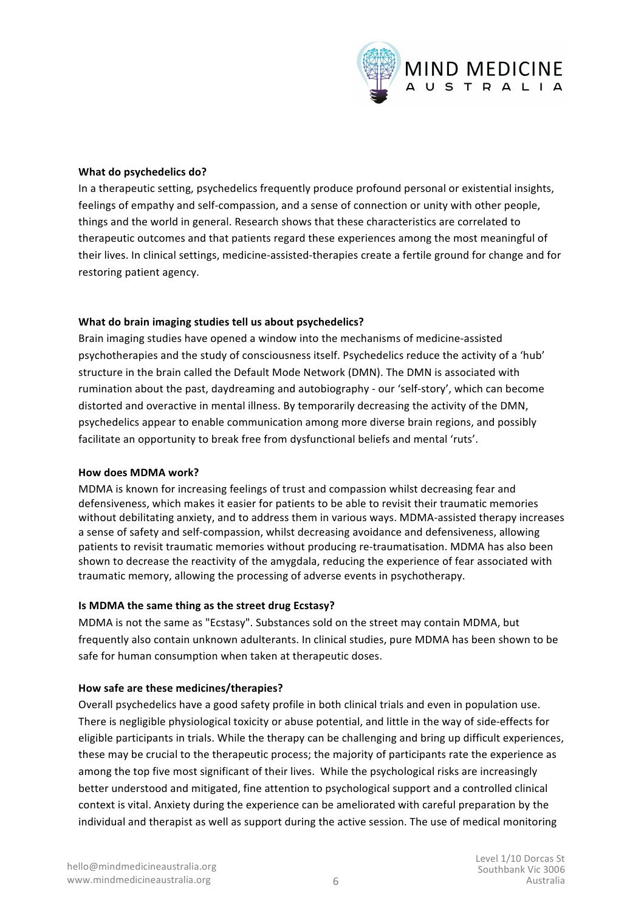

#### **What do psychedelics do?**

In a therapeutic setting, psychedelics frequently produce profound personal or existential insights, feelings of empathy and self-compassion, and a sense of connection or unity with other people, things and the world in general. Research shows that these characteristics are correlated to therapeutic outcomes and that patients regard these experiences among the most meaningful of their lives. In clinical settings, medicine-assisted-therapies create a fertile ground for change and for restoring patient agency.

#### What do brain imaging studies tell us about psychedelics?

Brain imaging studies have opened a window into the mechanisms of medicine-assisted psychotherapies and the study of consciousness itself. Psychedelics reduce the activity of a 'hub' structure in the brain called the Default Mode Network (DMN). The DMN is associated with rumination about the past, daydreaming and autobiography - our 'self-story', which can become distorted and overactive in mental illness. By temporarily decreasing the activity of the DMN, psychedelics appear to enable communication among more diverse brain regions, and possibly facilitate an opportunity to break free from dysfunctional beliefs and mental 'ruts'.

#### **How does MDMA work?**

MDMA is known for increasing feelings of trust and compassion whilst decreasing fear and defensiveness, which makes it easier for patients to be able to revisit their traumatic memories without debilitating anxiety, and to address them in various ways. MDMA-assisted therapy increases a sense of safety and self-compassion, whilst decreasing avoidance and defensiveness, allowing patients to revisit traumatic memories without producing re-traumatisation. MDMA has also been shown to decrease the reactivity of the amygdala, reducing the experience of fear associated with traumatic memory, allowing the processing of adverse events in psychotherapy.

#### **Is MDMA the same thing as the street drug Ecstasy?**

MDMA is not the same as "Ecstasy". Substances sold on the street may contain MDMA, but frequently also contain unknown adulterants. In clinical studies, pure MDMA has been shown to be safe for human consumption when taken at therapeutic doses.

#### How safe are these medicines/therapies?

Overall psychedelics have a good safety profile in both clinical trials and even in population use. There is negligible physiological toxicity or abuse potential, and little in the way of side-effects for eligible participants in trials. While the therapy can be challenging and bring up difficult experiences, these may be crucial to the therapeutic process; the majority of participants rate the experience as among the top five most significant of their lives. While the psychological risks are increasingly better understood and mitigated, fine attention to psychological support and a controlled clinical context is vital. Anxiety during the experience can be ameliorated with careful preparation by the individual and therapist as well as support during the active session. The use of medical monitoring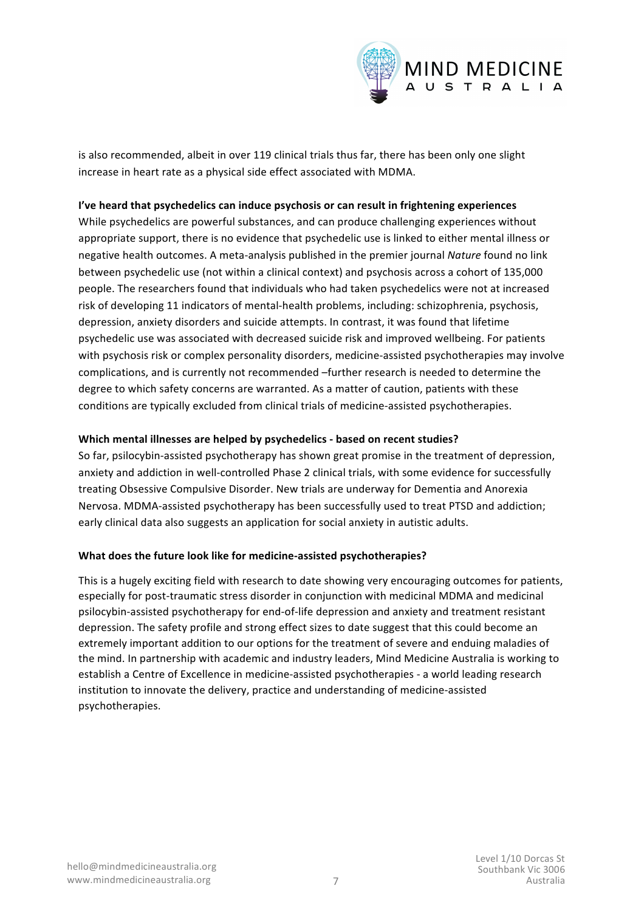

is also recommended, albeit in over 119 clinical trials thus far, there has been only one slight increase in heart rate as a physical side effect associated with MDMA.

#### I've heard that psychedelics can induce psychosis or can result in frightening experiences

While psychedelics are powerful substances, and can produce challenging experiences without appropriate support, there is no evidence that psychedelic use is linked to either mental illness or negative health outcomes. A meta-analysis published in the premier journal *Nature* found no link between psychedelic use (not within a clinical context) and psychosis across a cohort of 135,000 people. The researchers found that individuals who had taken psychedelics were not at increased risk of developing 11 indicators of mental-health problems, including: schizophrenia, psychosis, depression, anxiety disorders and suicide attempts. In contrast, it was found that lifetime psychedelic use was associated with decreased suicide risk and improved wellbeing. For patients with psychosis risk or complex personality disorders, medicine-assisted psychotherapies may involve complications, and is currently not recommended -further research is needed to determine the degree to which safety concerns are warranted. As a matter of caution, patients with these conditions are typically excluded from clinical trials of medicine-assisted psychotherapies.

# **Which mental illnesses are helped by psychedelics - based on recent studies?**

So far, psilocybin-assisted psychotherapy has shown great promise in the treatment of depression, anxiety and addiction in well-controlled Phase 2 clinical trials, with some evidence for successfully treating Obsessive Compulsive Disorder. New trials are underway for Dementia and Anorexia Nervosa. MDMA-assisted psychotherapy has been successfully used to treat PTSD and addiction; early clinical data also suggests an application for social anxiety in autistic adults.

#### **What does the future look like for medicine-assisted psychotherapies?**

This is a hugely exciting field with research to date showing very encouraging outcomes for patients, especially for post-traumatic stress disorder in conjunction with medicinal MDMA and medicinal psilocybin-assisted psychotherapy for end-of-life depression and anxiety and treatment resistant depression. The safety profile and strong effect sizes to date suggest that this could become an extremely important addition to our options for the treatment of severe and enduing maladies of the mind. In partnership with academic and industry leaders, Mind Medicine Australia is working to establish a Centre of Excellence in medicine-assisted psychotherapies - a world leading research institution to innovate the delivery, practice and understanding of medicine-assisted psychotherapies.